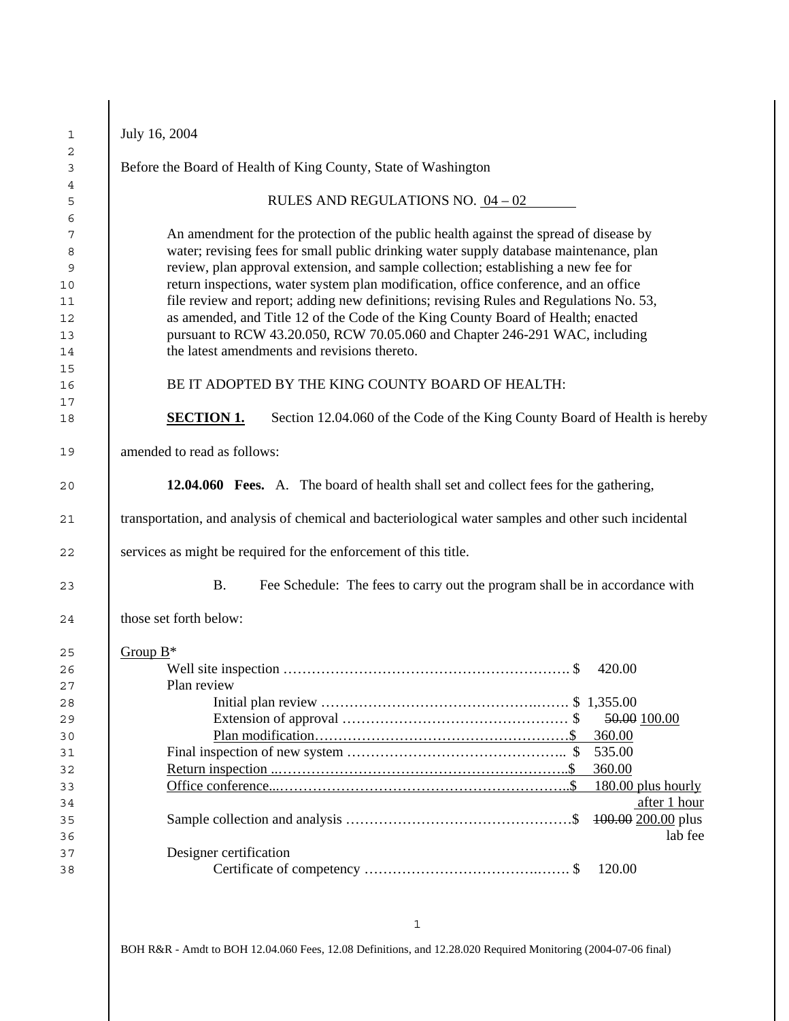|                                                                                                      | July 16, 2004                                                                                                                                                                                                                                                                                                                                                                                                                                                                                                                                                                                                                                                              |  |  |  |  |  |
|------------------------------------------------------------------------------------------------------|----------------------------------------------------------------------------------------------------------------------------------------------------------------------------------------------------------------------------------------------------------------------------------------------------------------------------------------------------------------------------------------------------------------------------------------------------------------------------------------------------------------------------------------------------------------------------------------------------------------------------------------------------------------------------|--|--|--|--|--|
|                                                                                                      | Before the Board of Health of King County, State of Washington                                                                                                                                                                                                                                                                                                                                                                                                                                                                                                                                                                                                             |  |  |  |  |  |
|                                                                                                      | RULES AND REGULATIONS NO. $04 - 02$                                                                                                                                                                                                                                                                                                                                                                                                                                                                                                                                                                                                                                        |  |  |  |  |  |
|                                                                                                      | An amendment for the protection of the public health against the spread of disease by<br>water; revising fees for small public drinking water supply database maintenance, plan<br>review, plan approval extension, and sample collection; establishing a new fee for<br>return inspections, water system plan modification, office conference, and an office<br>file review and report; adding new definitions; revising Rules and Regulations No. 53,<br>as amended, and Title 12 of the Code of the King County Board of Health; enacted<br>pursuant to RCW 43.20.050, RCW 70.05.060 and Chapter 246-291 WAC, including<br>the latest amendments and revisions thereto. |  |  |  |  |  |
|                                                                                                      | BE IT ADOPTED BY THE KING COUNTY BOARD OF HEALTH:                                                                                                                                                                                                                                                                                                                                                                                                                                                                                                                                                                                                                          |  |  |  |  |  |
|                                                                                                      | <b>SECTION 1.</b><br>Section 12.04.060 of the Code of the King County Board of Health is hereby                                                                                                                                                                                                                                                                                                                                                                                                                                                                                                                                                                            |  |  |  |  |  |
|                                                                                                      | amended to read as follows:                                                                                                                                                                                                                                                                                                                                                                                                                                                                                                                                                                                                                                                |  |  |  |  |  |
|                                                                                                      | <b>12.04.060</b> Fees. A. The board of health shall set and collect fees for the gathering,                                                                                                                                                                                                                                                                                                                                                                                                                                                                                                                                                                                |  |  |  |  |  |
| transportation, and analysis of chemical and bacteriological water samples and other such incidental |                                                                                                                                                                                                                                                                                                                                                                                                                                                                                                                                                                                                                                                                            |  |  |  |  |  |
|                                                                                                      | services as might be required for the enforcement of this title.                                                                                                                                                                                                                                                                                                                                                                                                                                                                                                                                                                                                           |  |  |  |  |  |
|                                                                                                      | <b>B.</b><br>Fee Schedule: The fees to carry out the program shall be in accordance with                                                                                                                                                                                                                                                                                                                                                                                                                                                                                                                                                                                   |  |  |  |  |  |
|                                                                                                      | those set forth below:                                                                                                                                                                                                                                                                                                                                                                                                                                                                                                                                                                                                                                                     |  |  |  |  |  |
|                                                                                                      | Group $B^*$                                                                                                                                                                                                                                                                                                                                                                                                                                                                                                                                                                                                                                                                |  |  |  |  |  |
|                                                                                                      | 420.00                                                                                                                                                                                                                                                                                                                                                                                                                                                                                                                                                                                                                                                                     |  |  |  |  |  |
|                                                                                                      | Plan review                                                                                                                                                                                                                                                                                                                                                                                                                                                                                                                                                                                                                                                                |  |  |  |  |  |
|                                                                                                      |                                                                                                                                                                                                                                                                                                                                                                                                                                                                                                                                                                                                                                                                            |  |  |  |  |  |
|                                                                                                      | 50.00 100.00                                                                                                                                                                                                                                                                                                                                                                                                                                                                                                                                                                                                                                                               |  |  |  |  |  |
|                                                                                                      | 360.00                                                                                                                                                                                                                                                                                                                                                                                                                                                                                                                                                                                                                                                                     |  |  |  |  |  |
|                                                                                                      | 535.00                                                                                                                                                                                                                                                                                                                                                                                                                                                                                                                                                                                                                                                                     |  |  |  |  |  |
|                                                                                                      | 360.00                                                                                                                                                                                                                                                                                                                                                                                                                                                                                                                                                                                                                                                                     |  |  |  |  |  |
|                                                                                                      | 180.00 plus hourly                                                                                                                                                                                                                                                                                                                                                                                                                                                                                                                                                                                                                                                         |  |  |  |  |  |
|                                                                                                      | after 1 hour<br>100.00 200.00 plus                                                                                                                                                                                                                                                                                                                                                                                                                                                                                                                                                                                                                                         |  |  |  |  |  |
|                                                                                                      | lab fee                                                                                                                                                                                                                                                                                                                                                                                                                                                                                                                                                                                                                                                                    |  |  |  |  |  |
|                                                                                                      | Designer certification                                                                                                                                                                                                                                                                                                                                                                                                                                                                                                                                                                                                                                                     |  |  |  |  |  |
|                                                                                                      | 120.00                                                                                                                                                                                                                                                                                                                                                                                                                                                                                                                                                                                                                                                                     |  |  |  |  |  |
|                                                                                                      |                                                                                                                                                                                                                                                                                                                                                                                                                                                                                                                                                                                                                                                                            |  |  |  |  |  |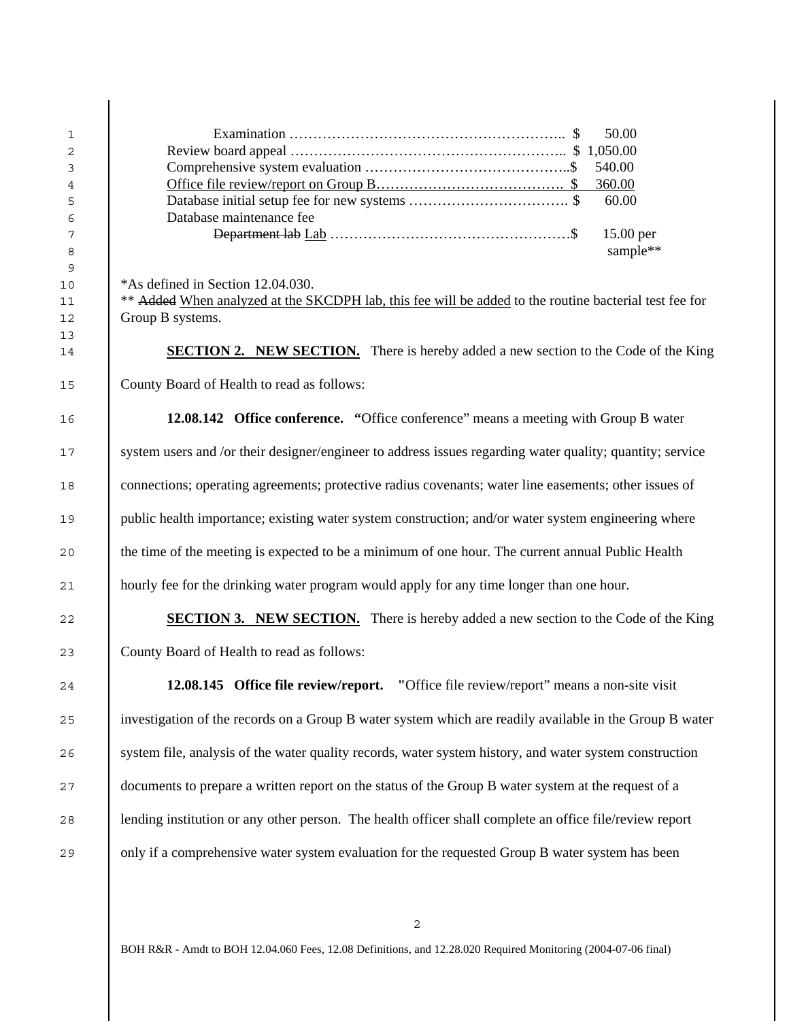| 1              | 50.00                                                                                                     |  |  |  |  |
|----------------|-----------------------------------------------------------------------------------------------------------|--|--|--|--|
| 2              |                                                                                                           |  |  |  |  |
| 3              | 540.00                                                                                                    |  |  |  |  |
| $\overline{4}$ | 360.00                                                                                                    |  |  |  |  |
| 5              | 60.00                                                                                                     |  |  |  |  |
| 6              | Database maintenance fee                                                                                  |  |  |  |  |
| 7              | 15.00 per                                                                                                 |  |  |  |  |
| 8              | sample**                                                                                                  |  |  |  |  |
| 9              |                                                                                                           |  |  |  |  |
| $10$           | *As defined in Section 12.04.030.                                                                         |  |  |  |  |
| 11             | ** Added When analyzed at the SKCDPH lab, this fee will be added to the routine bacterial test fee for    |  |  |  |  |
| 12             | Group B systems.                                                                                          |  |  |  |  |
| 13             |                                                                                                           |  |  |  |  |
| 14             | <b>SECTION 2. NEW SECTION.</b> There is hereby added a new section to the Code of the King                |  |  |  |  |
|                |                                                                                                           |  |  |  |  |
| 15             | County Board of Health to read as follows:                                                                |  |  |  |  |
|                |                                                                                                           |  |  |  |  |
| 16             | 12.08.142 Office conference. "Office conference" means a meeting with Group B water                       |  |  |  |  |
|                |                                                                                                           |  |  |  |  |
| 17             | system users and /or their designer/engineer to address issues regarding water quality; quantity; service |  |  |  |  |
|                |                                                                                                           |  |  |  |  |
| 18             | connections; operating agreements; protective radius covenants; water line easements; other issues of     |  |  |  |  |
|                |                                                                                                           |  |  |  |  |
| 19             | public health importance; existing water system construction; and/or water system engineering where       |  |  |  |  |
|                |                                                                                                           |  |  |  |  |
| 20             | the time of the meeting is expected to be a minimum of one hour. The current annual Public Health         |  |  |  |  |
|                |                                                                                                           |  |  |  |  |
| 21             | hourly fee for the drinking water program would apply for any time longer than one hour.                  |  |  |  |  |
|                |                                                                                                           |  |  |  |  |
| 22             | <b>SECTION 3. NEW SECTION.</b> There is hereby added a new section to the Code of the King                |  |  |  |  |
|                |                                                                                                           |  |  |  |  |
| 23             | County Board of Health to read as follows:                                                                |  |  |  |  |
|                |                                                                                                           |  |  |  |  |
| 24             | 12.08.145 Office file review/report.<br>"Office file review/report" means a non-site visit                |  |  |  |  |
|                |                                                                                                           |  |  |  |  |
| 25             | investigation of the records on a Group B water system which are readily available in the Group B water   |  |  |  |  |
|                |                                                                                                           |  |  |  |  |
| 26             | system file, analysis of the water quality records, water system history, and water system construction   |  |  |  |  |
|                |                                                                                                           |  |  |  |  |
| 27             | documents to prepare a written report on the status of the Group B water system at the request of a       |  |  |  |  |
|                |                                                                                                           |  |  |  |  |
| 28             | lending institution or any other person. The health officer shall complete an office file/review report   |  |  |  |  |
|                |                                                                                                           |  |  |  |  |
| 29             | only if a comprehensive water system evaluation for the requested Group B water system has been           |  |  |  |  |

 $\overline{1}$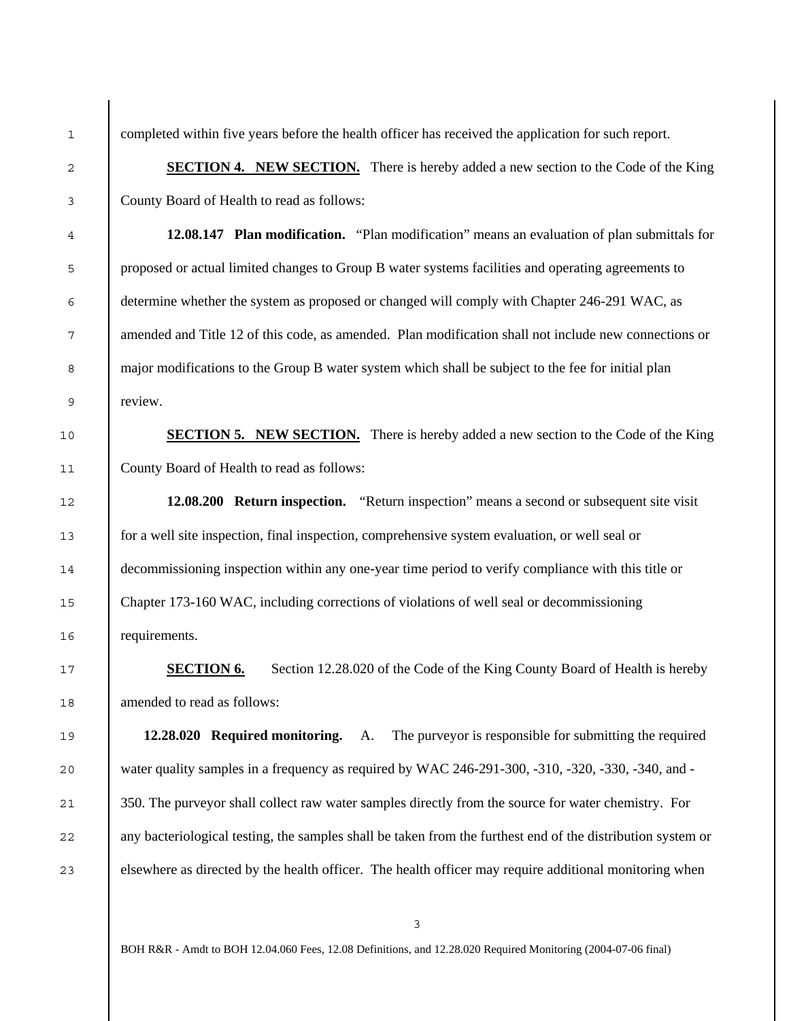$\overline{a}$ 

3

4

5

6

7

8

9

10

11

12

13

14

15

16

17

18

19

20

21

22

23

1 completed within five years before the health officer has received the application for such report.

**SECTION 4. NEW SECTION.** There is hereby added a new section to the Code of the King County Board of Health to read as follows:

**12.08.147 Plan modification.** "Plan modification" means an evaluation of plan submittals for proposed or actual limited changes to Group B water systems facilities and operating agreements to determine whether the system as proposed or changed will comply with Chapter 246-291 WAC, as amended and Title 12 of this code, as amended. Plan modification shall not include new connections or major modifications to the Group B water system which shall be subject to the fee for initial plan review.

**SECTION 5. NEW SECTION.** There is hereby added a new section to the Code of the King County Board of Health to read as follows:

**12.08.200 Return inspection.** "Return inspection" means a second or subsequent site visit for a well site inspection, final inspection, comprehensive system evaluation, or well seal or decommissioning inspection within any one-year time period to verify compliance with this title or Chapter 173-160 WAC, including corrections of violations of well seal or decommissioning requirements.

**SECTION 6.** Section 12.28.020 of the Code of the King County Board of Health is hereby amended to read as follows:

**12.28.020 Required monitoring.** A. The purveyor is responsible for submitting the required water quality samples in a frequency as required by WAC 246-291-300, -310, -320, -330, -340, and - 350. The purveyor shall collect raw water samples directly from the source for water chemistry. For any bacteriological testing, the samples shall be taken from the furthest end of the distribution system or elsewhere as directed by the health officer. The health officer may require additional monitoring when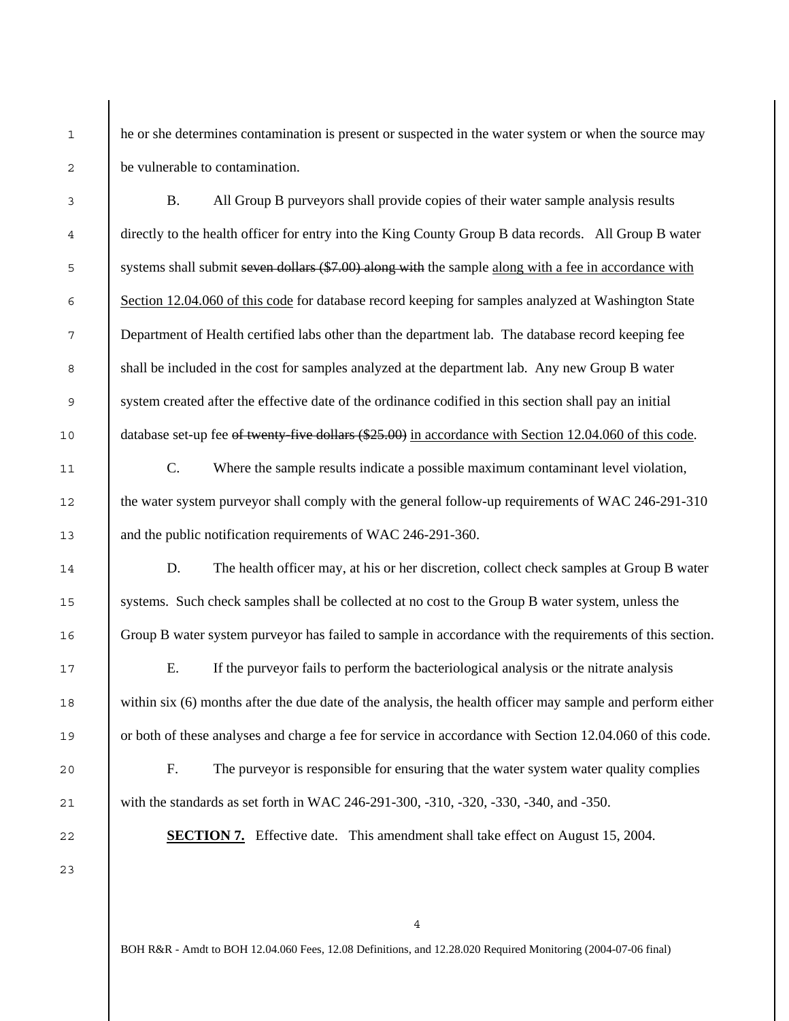he or she determines contamination is present or suspected in the water system or when the source may be vulnerable to contamination.

 B. All Group B purveyors shall provide copies of their water sample analysis results directly to the health officer for entry into the King County Group B data records. All Group B water 5 systems shall submit seven dollars (\$7.00) along with the sample along with a fee in accordance with Section 12.04.060 of this code for database record keeping for samples analyzed at Washington State Department of Health certified labs other than the department lab. The database record keeping fee shall be included in the cost for samples analyzed at the department lab. Any new Group B water system created after the effective date of the ordinance codified in this section shall pay an initial 10 database set-up fee of twenty-five dollars (\$25.00) in accordance with Section 12.04.060 of this code.

C. Where the sample results indicate a possible maximum contaminant level violation, the water system purveyor shall comply with the general follow-up requirements of WAC 246-291-310 and the public notification requirements of WAC 246-291-360.

D. The health officer may, at his or her discretion, collect check samples at Group B water systems. Such check samples shall be collected at no cost to the Group B water system, unless the Group B water system purveyor has failed to sample in accordance with the requirements of this section.

E. If the purveyor fails to perform the bacteriological analysis or the nitrate analysis within six (6) months after the due date of the analysis, the health officer may sample and perform either or both of these analyses and charge a fee for service in accordance with Section 12.04.060 of this code.

F. The purveyor is responsible for ensuring that the water system water quality complies with the standards as set forth in WAC 246-291-300, -310, -320, -330, -340, and -350.

22 **SECTION 7.** Effective date. This amendment shall take effect on August 15, 2004.

1

 $\overline{a}$ 

3

4

6

23

21

4